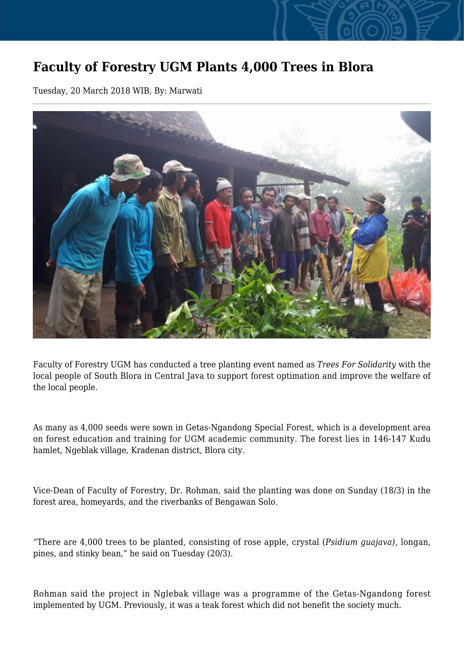## **Faculty of Forestry UGM Plants 4,000 Trees in Blora**

Tuesday, 20 March 2018 WIB, By: Marwati



Faculty of Forestry UGM has conducted a tree planting event named as *Trees For Solidarity* with the local people of South Blora in Central Java to support forest optimation and improve the welfare of the local people.

As many as 4,000 seeds were sown in Getas-Ngandong Special Forest, which is a development area on forest education and training for UGM academic community. The forest lies in 146-147 Kudu hamlet, Ngeblak village, Kradenan district, Blora city.

Vice-Dean of Faculty of Forestry, Dr. Rohman, said the planting was done on Sunday (18/3) in the forest area, homeyards, and the riverbanks of Bengawan Solo.

"There are 4,000 trees to be planted, consisting of rose apple, crystal (*Psidium guajava)*, longan, pines, and stinky bean," he said on Tuesday (20/3).

Rohman said the project in Nglebak village was a programme of the Getas-Ngandong forest implemented by UGM. Previously, it was a teak forest which did not benefit the society much.